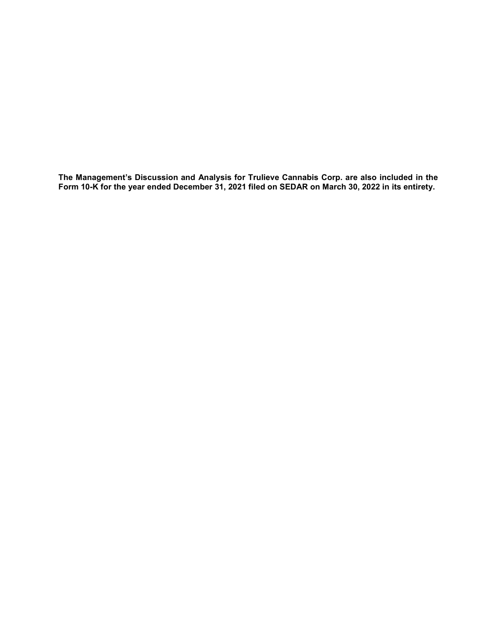The Management's Discussion and Analysis for Trulieve Cannabis Corp. are also included in the Form 10-K for the year ended December 31, 2021 filed on SEDAR on March 30, 2022 in its entirety.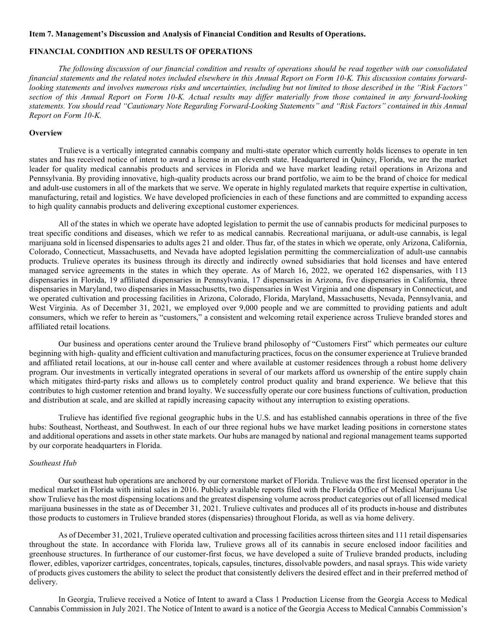#### Item 7. Management's Discussion and Analysis of Financial Condition and Results of Operations.

# FINANCIAL CONDITION AND RESULTS OF OPERATIONS

The following discussion of our financial condition and results of operations should be read together with our consolidated financial statements and the related notes included elsewhere in this Annual Report on Form 10-K. This discussion contains forwardlooking statements and involves numerous risks and uncertainties, including but not limited to those described in the "Risk Factors" section of this Annual Report on Form 10-K. Actual results may differ materially from those contained in any forward-looking statements. You should read "Cautionary Note Regarding Forward-Looking Statements" and "Risk Factors" contained in this Annual Report on Form 10-K.

### **Overview**

Trulieve is a vertically integrated cannabis company and multi-state operator which currently holds licenses to operate in ten states and has received notice of intent to award a license in an eleventh state. Headquartered in Quincy, Florida, we are the market leader for quality medical cannabis products and services in Florida and we have market leading retail operations in Arizona and Pennsylvania. By providing innovative, high-quality products across our brand portfolio, we aim to be the brand of choice for medical and adult-use customers in all of the markets that we serve. We operate in highly regulated markets that require expertise in cultivation, manufacturing, retail and logistics. We have developed proficiencies in each of these functions and are committed to expanding access to high quality cannabis products and delivering exceptional customer experiences.

All of the states in which we operate have adopted legislation to permit the use of cannabis products for medicinal purposes to treat specific conditions and diseases, which we refer to as medical cannabis. Recreational marijuana, or adult-use cannabis, is legal marijuana sold in licensed dispensaries to adults ages 21 and older. Thus far, of the states in which we operate, only Arizona, California, Colorado, Connecticut, Massachusetts, and Nevada have adopted legislation permitting the commercialization of adult-use cannabis products. Trulieve operates its business through its directly and indirectly owned subsidiaries that hold licenses and have entered managed service agreements in the states in which they operate. As of March 16, 2022, we operated 162 dispensaries, with 113 dispensaries in Florida, 19 affiliated dispensaries in Pennsylvania, 17 dispensaries in Arizona, five dispensaries in California, three dispensaries in Maryland, two dispensaries in Massachusetts, two dispensaries in West Virginia and one dispensary in Connecticut, and we operated cultivation and processing facilities in Arizona, Colorado, Florida, Maryland, Massachusetts, Nevada, Pennsylvania, and West Virginia. As of December 31, 2021, we employed over 9,000 people and we are committed to providing patients and adult consumers, which we refer to herein as "customers," a consistent and welcoming retail experience across Trulieve branded stores and affiliated retail locations.

Our business and operations center around the Trulieve brand philosophy of "Customers First" which permeates our culture beginning with high- quality and efficient cultivation and manufacturing practices, focus on the consumer experience at Trulieve branded and affiliated retail locations, at our in-house call center and where available at customer residences through a robust home delivery program. Our investments in vertically integrated operations in several of our markets afford us ownership of the entire supply chain which mitigates third-party risks and allows us to completely control product quality and brand experience. We believe that this contributes to high customer retention and brand loyalty. We successfully operate our core business functions of cultivation, production and distribution at scale, and are skilled at rapidly increasing capacity without any interruption to existing operations.

Trulieve has identified five regional geographic hubs in the U.S. and has established cannabis operations in three of the five hubs: Southeast, Northeast, and Southwest. In each of our three regional hubs we have market leading positions in cornerstone states and additional operations and assets in other state markets. Our hubs are managed by national and regional management teams supported by our corporate headquarters in Florida.

#### Southeast Hub

Our southeast hub operations are anchored by our cornerstone market of Florida. Trulieve was the first licensed operator in the medical market in Florida with initial sales in 2016. Publicly available reports filed with the Florida Office of Medical Marijuana Use show Trulieve has the most dispensing locations and the greatest dispensing volume across product categories out of all licensed medical marijuana businesses in the state as of December 31, 2021. Trulieve cultivates and produces all of its products in-house and distributes those products to customers in Trulieve branded stores (dispensaries) throughout Florida, as well as via home delivery.

As of December 31, 2021, Trulieve operated cultivation and processing facilities across thirteen sites and 111 retail dispensaries throughout the state. In accordance with Florida law, Trulieve grows all of its cannabis in secure enclosed indoor facilities and greenhouse structures. In furtherance of our customer-first focus, we have developed a suite of Trulieve branded products, including flower, edibles, vaporizer cartridges, concentrates, topicals, capsules, tinctures, dissolvable powders, and nasal sprays. This wide variety of products gives customers the ability to select the product that consistently delivers the desired effect and in their preferred method of delivery.

In Georgia, Trulieve received a Notice of Intent to award a Class 1 Production License from the Georgia Access to Medical Cannabis Commission in July 2021. The Notice of Intent to award is a notice of the Georgia Access to Medical Cannabis Commission's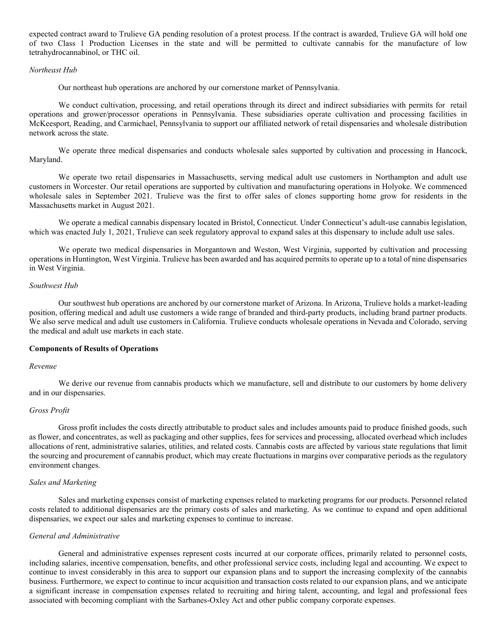expected contract award to Trulieve GA pending resolution of a protest process. If the contract is awarded, Trulieve GA will hold one of two Class 1 Production Licenses in the state and will be permitted to cultivate cannabis for the manufacture of low tetrahydrocannabinol, or THC oil.

### Northeast Hub

Our northeast hub operations are anchored by our cornerstone market of Pennsylvania.

We conduct cultivation, processing, and retail operations through its direct and indirect subsidiaries with permits for retail operations and grower/processor operations in Pennsylvania. These subsidiaries operate cultivation and processing facilities in McKeesport, Reading, and Carmichael, Pennsylvania to support our affiliated network of retail dispensaries and wholesale distribution network across the state.

We operate three medical dispensaries and conducts wholesale sales supported by cultivation and processing in Hancock, Maryland.

We operate two retail dispensaries in Massachusetts, serving medical adult use customers in Northampton and adult use customers in Worcester. Our retail operations are supported by cultivation and manufacturing operations in Holyoke. We commenced wholesale sales in September 2021. Trulieve was the first to offer sales of clones supporting home grow for residents in the Massachusetts market in August 2021.

We operate a medical cannabis dispensary located in Bristol, Connecticut. Under Connecticut's adult-use cannabis legislation, which was enacted July 1, 2021, Trulieve can seek regulatory approval to expand sales at this dispensary to include adult use sales.

We operate two medical dispensaries in Morgantown and Weston, West Virginia, supported by cultivation and processing operations in Huntington, West Virginia. Trulieve has been awarded and has acquired permits to operate up to a total of nine dispensaries in West Virginia.

# Southwest Hub

Our southwest hub operations are anchored by our cornerstone market of Arizona. In Arizona, Trulieve holds a market-leading position, offering medical and adult use customers a wide range of branded and third-party products, including brand partner products. We also serve medical and adult use customers in California. Trulieve conducts wholesale operations in Nevada and Colorado, serving the medical and adult use markets in each state.

## Components of Results of Operations

#### Revenue

We derive our revenue from cannabis products which we manufacture, sell and distribute to our customers by home delivery and in our dispensaries.

## Gross Profit

Gross profit includes the costs directly attributable to product sales and includes amounts paid to produce finished goods, such as flower, and concentrates, as well as packaging and other supplies, fees for services and processing, allocated overhead which includes allocations of rent, administrative salaries, utilities, and related costs. Cannabis costs are affected by various state regulations that limit the sourcing and procurement of cannabis product, which may create fluctuations in margins over comparative periods as the regulatory environment changes.

#### Sales and Marketing

Sales and marketing expenses consist of marketing expenses related to marketing programs for our products. Personnel related costs related to additional dispensaries are the primary costs of sales and marketing. As we continue to expand and open additional dispensaries, we expect our sales and marketing expenses to continue to increase.

## General and Administrative

General and administrative expenses represent costs incurred at our corporate offices, primarily related to personnel costs, including salaries, incentive compensation, benefits, and other professional service costs, including legal and accounting. We expect to continue to invest considerably in this area to support our expansion plans and to support the increasing complexity of the cannabis business. Furthermore, we expect to continue to incur acquisition and transaction costs related to our expansion plans, and we anticipate a significant increase in compensation expenses related to recruiting and hiring talent, accounting, and legal and professional fees associated with becoming compliant with the Sarbanes-Oxley Act and other public company corporate expenses.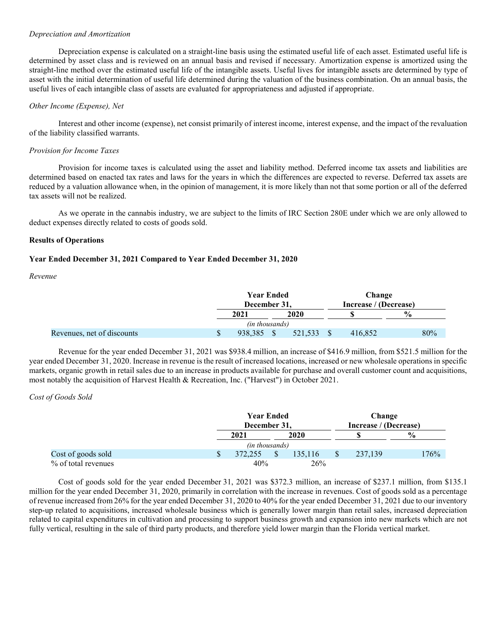## Depreciation and Amortization

Depreciation expense is calculated on a straight-line basis using the estimated useful life of each asset. Estimated useful life is determined by asset class and is reviewed on an annual basis and revised if necessary. Amortization expense is amortized using the straight-line method over the estimated useful life of the intangible assets. Useful lives for intangible assets are determined by type of asset with the initial determination of useful life determined during the valuation of the business combination. On an annual basis, the useful lives of each intangible class of assets are evaluated for appropriateness and adjusted if appropriate.

### Other Income (Expense), Net

Interest and other income (expense), net consist primarily of interest income, interest expense, and the impact of the revaluation of the liability classified warrants.

### Provision for Income Taxes

Provision for income taxes is calculated using the asset and liability method. Deferred income tax assets and liabilities are determined based on enacted tax rates and laws for the years in which the differences are expected to reverse. Deferred tax assets are reduced by a valuation allowance when, in the opinion of management, it is more likely than not that some portion or all of the deferred tax assets will not be realized.

As we operate in the cannabis industry, we are subject to the limits of IRC Section 280E under which we are only allowed to deduct expenses directly related to costs of goods sold.

## Results of Operations

## Year Ended December 31, 2021 Compared to Year Ended December 31, 2020

Revenue

|                            | <b>Year Ended</b><br>December 31, |         |  | Change<br>Increase / (Decrease) |               |
|----------------------------|-----------------------------------|---------|--|---------------------------------|---------------|
|                            | 2021                              | 2020    |  |                                 | $\frac{0}{0}$ |
|                            | (in thousands)                    |         |  |                                 |               |
| Revenues, net of discounts | 938.385                           | 521.533 |  | 416,852                         | 80%           |
|                            |                                   |         |  |                                 |               |

Revenue for the year ended December 31, 2021 was \$938.4 million, an increase of \$416.9 million, from \$521.5 million for the year ended December 31, 2020. Increase in revenue is the result of increased locations, increased or new wholesale operations in specific markets, organic growth in retail sales due to an increase in products available for purchase and overall customer count and acquisitions, most notably the acquisition of Harvest Health & Recreation, Inc. ("Harvest") in October 2021.

### Cost of Goods Sold

|                     |  | <b>Year Ended</b><br>December 31, |  |         | Change                |               |
|---------------------|--|-----------------------------------|--|---------|-----------------------|---------------|
|                     |  |                                   |  |         | Increase / (Decrease) |               |
|                     |  | 2021                              |  | 2020    |                       | $\frac{0}{0}$ |
|                     |  | (in thousands)                    |  |         |                       |               |
| Cost of goods sold  |  | 372,255                           |  | 135,116 | 237,139               | 176%          |
| % of total revenues |  | 40%                               |  | 26%     |                       |               |

Cost of goods sold for the year ended December 31, 2021 was \$372.3 million, an increase of \$237.1 million, from \$135.1 million for the year ended December 31, 2020, primarily in correlation with the increase in revenues. Cost of goods sold as a percentage of revenue increased from 26% for the year ended December 31, 2020 to 40% for the year ended December 31, 2021 due to our inventory step-up related to acquisitions, increased wholesale business which is generally lower margin than retail sales, increased depreciation related to capital expenditures in cultivation and processing to support business growth and expansion into new markets which are not fully vertical, resulting in the sale of third party products, and therefore yield lower margin than the Florida vertical market.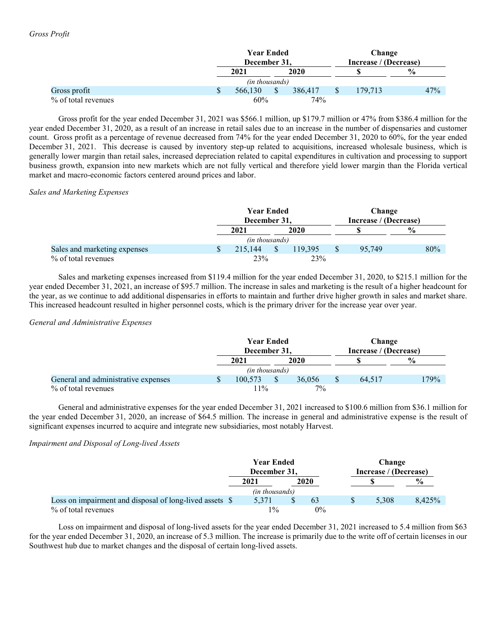|                     | <b>Year Ended</b> |  |         |                       | Change  |               |
|---------------------|-------------------|--|---------|-----------------------|---------|---------------|
|                     | December 31,      |  |         | Increase / (Decrease) |         |               |
|                     | 2021              |  | 2020    |                       |         | $\frac{0}{0}$ |
|                     | (in thousands)    |  |         |                       |         |               |
| Gross profit        | 566,130           |  | 386,417 |                       | 179.713 | 47%           |
| % of total revenues | 60%               |  | 74%     |                       |         |               |

Gross profit for the year ended December 31, 2021 was \$566.1 million, up \$179.7 million or 47% from \$386.4 million for the year ended December 31, 2020, as a result of an increase in retail sales due to an increase in the number of dispensaries and customer count. Gross profit as a percentage of revenue decreased from 74% for the year ended December 31, 2020 to 60%, for the year ended December 31, 2021. This decrease is caused by inventory step-up related to acquisitions, increased wholesale business, which is generally lower margin than retail sales, increased depreciation related to capital expenditures in cultivation and processing to support business growth, expansion into new markets which are not fully vertical and therefore yield lower margin than the Florida vertical market and macro-economic factors centered around prices and labor.

# Sales and Marketing Expenses

|                              |  | <b>Year Ended</b><br>December 31, |  |         |  | Change<br>Increase / (Decrease) |     |
|------------------------------|--|-----------------------------------|--|---------|--|---------------------------------|-----|
|                              |  |                                   |  |         |  |                                 |     |
|                              |  | 2020<br>2021                      |  |         |  | $\frac{0}{0}$                   |     |
|                              |  | (in thousands)                    |  |         |  |                                 |     |
| Sales and marketing expenses |  | 215,144                           |  | 119.395 |  | 95,749                          | 80% |
| % of total revenues          |  | 23%                               |  | 23%     |  |                                 |     |

Sales and marketing expenses increased from \$119.4 million for the year ended December 31, 2020, to \$215.1 million for the year ended December 31, 2021, an increase of \$95.7 million. The increase in sales and marketing is the result of a higher headcount for the year, as we continue to add additional dispensaries in efforts to maintain and further drive higher growth in sales and market share. This increased headcount resulted in higher personnel costs, which is the primary driver for the increase year over year.

# General and Administrative Expenses

|                                     | <b>Year Ended</b> |  |        |  | Change                |      |
|-------------------------------------|-------------------|--|--------|--|-----------------------|------|
|                                     | December 31,      |  |        |  | Increase / (Decrease) |      |
|                                     | 2020<br>2021      |  |        |  | $\frac{0}{0}$         |      |
|                                     | (in thousands)    |  |        |  |                       |      |
| General and administrative expenses | 100.573           |  | 36,056 |  | 64.517                | 179% |
| % of total revenues                 | $11\%$            |  | $7\%$  |  |                       |      |

General and administrative expenses for the year ended December 31, 2021 increased to \$100.6 million from \$36.1 million for the year ended December 31, 2020, an increase of \$64.5 million. The increase in general and administrative expense is the result of significant expenses incurred to acquire and integrate new subsidiaries, most notably Harvest.

# Impairment and Disposal of Long-lived Assets

|                                                          | <b>Year Ended</b> |                |  | <b>Change</b><br>Increase / (Decrease) |  |       |               |  |
|----------------------------------------------------------|-------------------|----------------|--|----------------------------------------|--|-------|---------------|--|
|                                                          | December 31.      |                |  |                                        |  |       |               |  |
|                                                          |                   | 2021           |  | 2020                                   |  |       | $\frac{6}{9}$ |  |
|                                                          |                   | (in thousands) |  |                                        |  |       |               |  |
| Loss on impairment and disposal of long-lived assets $\$ |                   | 5.371          |  | 63                                     |  | 5.308 | 8.425%        |  |
| % of total revenues                                      |                   | $1\%$          |  | 0%                                     |  |       |               |  |

Loss on impairment and disposal of long-lived assets for the year ended December 31, 2021 increased to 5.4 million from \$63 for the year ended December 31, 2020, an increase of 5.3 million. The increase is primarily due to the write off of certain licenses in our Southwest hub due to market changes and the disposal of certain long-lived assets.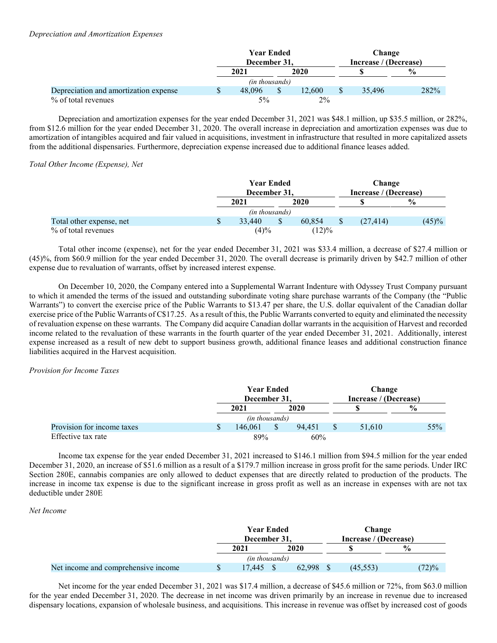# Depreciation and Amortization Expenses

|                                       | <b>Year Ended</b>     |  |        | Change |                       |               |
|---------------------------------------|-----------------------|--|--------|--------|-----------------------|---------------|
|                                       | December 31.          |  |        |        | Increase / (Decrease) |               |
|                                       | 2021                  |  | 2020   |        |                       | $\frac{0}{0}$ |
|                                       | <i>(in thousands)</i> |  |        |        |                       |               |
| Depreciation and amortization expense | 48.096                |  | 12.600 |        | 35.496                | 282%          |
| % of total revenues                   | $5\%$                 |  | $2\%$  |        |                       |               |

Depreciation and amortization expenses for the year ended December 31, 2021 was \$48.1 million, up \$35.5 million, or 282%, from \$12.6 million for the year ended December 31, 2020. The overall increase in depreciation and amortization expenses was due to amortization of intangibles acquired and fair valued in acquisitions, investment in infrastructure that resulted in more capitalized assets from the additional dispensaries. Furthermore, depreciation expense increased due to additional finance leases added.

## Total Other Income (Expense), Net

|                          |   | <b>Year Ended</b> |                |        |  | Change                |               |  |
|--------------------------|---|-------------------|----------------|--------|--|-----------------------|---------------|--|
|                          |   | December 31,      |                |        |  | Increase / (Decrease) |               |  |
|                          |   | 2021              |                | 2020   |  |                       | $\frac{0}{0}$ |  |
|                          |   |                   | (in thousands) |        |  |                       |               |  |
| Total other expense, net | S | 33,440            |                | 60.854 |  | (27, 414)             | (45)%         |  |
| % of total revenues      |   |                   | (4)%           | (12)%  |  |                       |               |  |

Total other income (expense), net for the year ended December 31, 2021 was \$33.4 million, a decrease of \$27.4 million or (45)%, from \$60.9 million for the year ended December 31, 2020. The overall decrease is primarily driven by \$42.7 million of other expense due to revaluation of warrants, offset by increased interest expense.

On December 10, 2020, the Company entered into a Supplemental Warrant Indenture with Odyssey Trust Company pursuant to which it amended the terms of the issued and outstanding subordinate voting share purchase warrants of the Company (the "Public Warrants") to convert the exercise price of the Public Warrants to \$13.47 per share, the U.S. dollar equivalent of the Canadian dollar exercise price of the Public Warrants of C\$17.25. As a result of this, the Public Warrants converted to equity and eliminated the necessity of revaluation expense on these warrants. The Company did acquire Canadian dollar warrants in the acquisition of Harvest and recorded income related to the revaluation of these warrants in the fourth quarter of the year ended December 31, 2021. Additionally, interest expense increased as a result of new debt to support business growth, additional finance leases and additional construction finance liabilities acquired in the Harvest acquisition.

## Provision for Income Taxes

|                            |  | <b>Year Ended</b><br>December 31, |  |        |               | Change                |     |
|----------------------------|--|-----------------------------------|--|--------|---------------|-----------------------|-----|
|                            |  |                                   |  |        |               | Increase / (Decrease) |     |
|                            |  | 2020<br>2021                      |  |        | $\frac{0}{0}$ |                       |     |
|                            |  | <i>(in thousands)</i>             |  |        |               |                       |     |
| Provision for income taxes |  | 146,061                           |  | 94.451 |               | 51.610                | 55% |
| Effective tax rate         |  | 89%                               |  | 60%    |               |                       |     |

Income tax expense for the year ended December 31, 2021 increased to \$146.1 million from \$94.5 million for the year ended December 31, 2020, an increase of \$51.6 million as a result of a \$179.7 million increase in gross profit for the same periods. Under IRC Section 280E, cannabis companies are only allowed to deduct expenses that are directly related to production of the products. The increase in income tax expense is due to the significant increase in gross profit as well as an increase in expenses with are not tax deductible under 280E

## Net Income

|                                     | <b>Year Ended</b><br>December 31, |        | Change<br>Increase / (Decrease) |               |
|-------------------------------------|-----------------------------------|--------|---------------------------------|---------------|
|                                     | 2021                              | 2020   |                                 | $\frac{0}{0}$ |
|                                     | <i>(in thousands)</i>             |        |                                 |               |
| Net income and comprehensive income | 17.445                            | 62,998 | (45.553)                        | (72)%         |

Net income for the year ended December 31, 2021 was \$17.4 million, a decrease of \$45.6 million or 72%, from \$63.0 million for the year ended December 31, 2020. The decrease in net income was driven primarily by an increase in revenue due to increased dispensary locations, expansion of wholesale business, and acquisitions. This increase in revenue was offset by increased cost of goods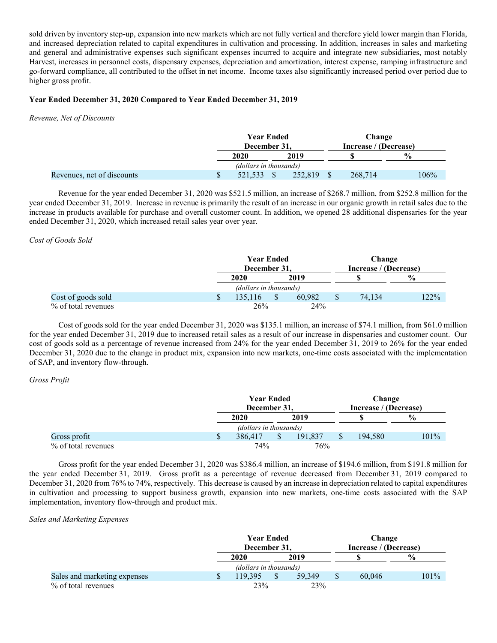sold driven by inventory step-up, expansion into new markets which are not fully vertical and therefore yield lower margin than Florida, and increased depreciation related to capital expenditures in cultivation and processing. In addition, increases in sales and marketing and general and administrative expenses such significant expenses incurred to acquire and integrate new subsidiaries, most notably Harvest, increases in personnel costs, dispensary expenses, depreciation and amortization, interest expense, ramping infrastructure and go-forward compliance, all contributed to the offset in net income. Income taxes also significantly increased period over period due to higher gross profit.

# Year Ended December 31, 2020 Compared to Year Ended December 31, 2019

Revenue, Net of Discounts

|                            | <b>Year Ended</b><br>December 31, |      |         |  | Change<br>Increase / (Decrease) |               |  |
|----------------------------|-----------------------------------|------|---------|--|---------------------------------|---------------|--|
|                            | 2020                              | 2019 |         |  |                                 | $\frac{6}{9}$ |  |
|                            | (dollars in thousands)            |      |         |  |                                 |               |  |
| Revenues, net of discounts | 521,533                           |      | 252,819 |  | 268,714                         | 106%          |  |

Revenue for the year ended December 31, 2020 was \$521.5 million, an increase of \$268.7 million, from \$252.8 million for the year ended December 31, 2019. Increase in revenue is primarily the result of an increase in our organic growth in retail sales due to the increase in products available for purchase and overall customer count. In addition, we opened 28 additional dispensaries for the year ended December 31, 2020, which increased retail sales year over year.

# Cost of Goods Sold

|                     | <b>Year Ended</b><br>December 31, |      |        |  | Change<br>Increase / (Decrease) |               |  |
|---------------------|-----------------------------------|------|--------|--|---------------------------------|---------------|--|
|                     | 2020                              | 2019 |        |  |                                 | $\frac{0}{0}$ |  |
|                     | (dollars in thousands)            |      |        |  |                                 |               |  |
| Cost of goods sold  | 135,116                           |      | 60.982 |  | 74.134                          | 122%          |  |
| % of total revenues | 26%                               |      | 24%    |  |                                 |               |  |

Cost of goods sold for the year ended December 31, 2020 was \$135.1 million, an increase of \$74.1 million, from \$61.0 million for the year ended December 31, 2019 due to increased retail sales as a result of our increase in dispensaries and customer count. Our cost of goods sold as a percentage of revenue increased from 24% for the year ended December 31, 2019 to 26% for the year ended December 31, 2020 due to the change in product mix, expansion into new markets, one-time costs associated with the implementation of SAP, and inventory flow-through.

# Gross Profit

|                     |   | <b>Year Ended</b>      |      |         |  | Change                |               |  |
|---------------------|---|------------------------|------|---------|--|-----------------------|---------------|--|
|                     |   | December 31,           |      |         |  | Increase / (Decrease) |               |  |
|                     |   | 2020                   | 2019 |         |  |                       | $\frac{6}{6}$ |  |
|                     |   | (dollars in thousands) |      |         |  |                       |               |  |
| Gross profit        | D | 386,417                |      | 191.837 |  | 194.580               | $101\%$       |  |
| % of total revenues |   | 74%                    |      | 76%     |  |                       |               |  |

Gross profit for the year ended December 31, 2020 was \$386.4 million, an increase of \$194.6 million, from \$191.8 million for the year ended December 31, 2019. Gross profit as a percentage of revenue decreased from December 31, 2019 compared to December 31, 2020 from 76% to 74%, respectively. This decrease is caused by an increase in depreciation related to capital expenditures in cultivation and processing to support business growth, expansion into new markets, one-time costs associated with the SAP implementation, inventory flow-through and product mix.

## Sales and Marketing Expenses

|                              |                        | <b>Year Ended</b><br>December 31, |  |        | Change<br>Increase / (Decrease) |        |               |
|------------------------------|------------------------|-----------------------------------|--|--------|---------------------------------|--------|---------------|
|                              |                        | 2019<br>2020                      |  |        |                                 |        | $\frac{6}{9}$ |
|                              | (dollars in thousands) |                                   |  |        |                                 |        |               |
| Sales and marketing expenses |                        | 119.395                           |  | 59.349 |                                 | 60.046 | 101%          |
| % of total revenues          |                        | 23%                               |  | 23%    |                                 |        |               |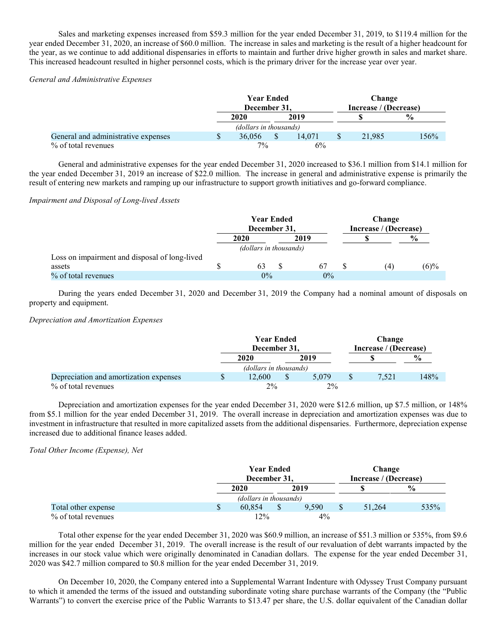Sales and marketing expenses increased from \$59.3 million for the year ended December 31, 2019, to \$119.4 million for the year ended December 31, 2020, an increase of \$60.0 million. The increase in sales and marketing is the result of a higher headcount for the year, as we continue to add additional dispensaries in efforts to maintain and further drive higher growth in sales and market share. This increased headcount resulted in higher personnel costs, which is the primary driver for the increase year over year.

# General and Administrative Expenses

|                                     |                        | <b>Year Ended</b><br>December 31, |  |        | Change<br>Increase / (Decrease) |        |               |
|-------------------------------------|------------------------|-----------------------------------|--|--------|---------------------------------|--------|---------------|
|                                     |                        | 2019<br>2020                      |  |        |                                 |        | $\frac{0}{0}$ |
|                                     | (dollars in thousands) |                                   |  |        |                                 |        |               |
| General and administrative expenses |                        | 36,056                            |  | 14.071 |                                 | 21,985 | 156%          |
| % of total revenues                 |                        | $7\%$                             |  | 6%     |                                 |        |               |

General and administrative expenses for the year ended December 31, 2020 increased to \$36.1 million from \$14.1 million for the year ended December 31, 2019 an increase of \$22.0 million. The increase in general and administrative expense is primarily the result of entering new markets and ramping up our infrastructure to support growth initiatives and go-forward compliance.

# Impairment and Disposal of Long-lived Assets

|                                               | <b>Year Ended</b><br>December 31, |  |       | Change<br>Increase / (Decrease) |     |               |
|-----------------------------------------------|-----------------------------------|--|-------|---------------------------------|-----|---------------|
|                                               | 2020                              |  | 2019  |                                 |     | $\frac{6}{9}$ |
|                                               | (dollars in thousands)            |  |       |                                 |     |               |
| Loss on impairment and disposal of long-lived |                                   |  |       |                                 |     |               |
| assets                                        | 63                                |  | 67    |                                 | (4) | $(6)\%$       |
| % of total revenues                           | $0\%$                             |  | $0\%$ |                                 |     |               |

During the years ended December 31, 2020 and December 31, 2019 the Company had a nominal amount of disposals on property and equipment.

### Depreciation and Amortization Expenses

|                                        | <b>Year Ended</b> |                        |  | Change<br>Increase / (Decrease) |  |       |               |
|----------------------------------------|-------------------|------------------------|--|---------------------------------|--|-------|---------------|
|                                        | December 31.      |                        |  |                                 |  |       |               |
|                                        |                   | 2019<br>2020           |  |                                 |  |       | $\frac{6}{6}$ |
|                                        |                   | (dollars in thousands) |  |                                 |  |       |               |
| Depreciation and amortization expenses |                   | 12.600                 |  | 5.079                           |  | 7.521 | 148%          |
| % of total revenues                    |                   | $2\%$                  |  | $2\%$                           |  |       |               |

Depreciation and amortization expenses for the year ended December 31, 2020 were \$12.6 million, up \$7.5 million, or 148% from \$5.1 million for the year ended December 31, 2019. The overall increase in depreciation and amortization expenses was due to investment in infrastructure that resulted in more capitalized assets from the additional dispensaries. Furthermore, depreciation expense increased due to additional finance leases added.

# Total Other Income (Expense), Net

|                     |   | <b>Year Ended</b>      |  |       | Change |                       |               |  |
|---------------------|---|------------------------|--|-------|--------|-----------------------|---------------|--|
|                     |   | December 31,           |  |       |        | Increase / (Decrease) |               |  |
|                     |   | 2020                   |  | 2019  |        |                       | $\frac{6}{9}$ |  |
|                     |   | (dollars in thousands) |  |       |        |                       |               |  |
| Total other expense | S | 60.854                 |  | 9.590 |        | 51.264                | 535%          |  |
| % of total revenues |   | 12%                    |  | $4\%$ |        |                       |               |  |

Total other expense for the year ended December 31, 2020 was \$60.9 million, an increase of \$51.3 million or 535%, from \$9.6 million for the year ended December 31, 2019. The overall increase is the result of our revaluation of debt warrants impacted by the increases in our stock value which were originally denominated in Canadian dollars. The expense for the year ended December 31, 2020 was \$42.7 million compared to \$0.8 million for the year ended December 31, 2019.

On December 10, 2020, the Company entered into a Supplemental Warrant Indenture with Odyssey Trust Company pursuant to which it amended the terms of the issued and outstanding subordinate voting share purchase warrants of the Company (the "Public Warrants") to convert the exercise price of the Public Warrants to \$13.47 per share, the U.S. dollar equivalent of the Canadian dollar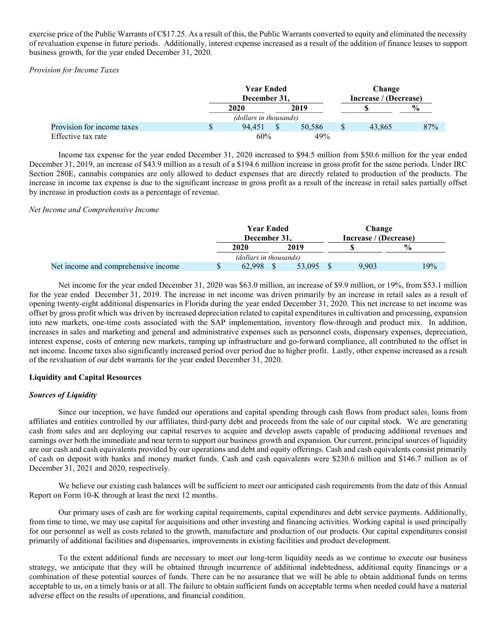exercise price of the Public Warrants of C\$17.25. As a result of this, the Public Warrants converted to equity and eliminated the necessity of revaluation expense in future periods. Additionally, interest expense increased as a result of the addition of finance leases to support business growth, for the year ended December 31, 2020.

# Provision for Income Taxes

|                            | <b>Year Ended</b>      |      |        | Change                |        |               |
|----------------------------|------------------------|------|--------|-----------------------|--------|---------------|
|                            | December 31,           |      |        | Increase / (Decrease) |        |               |
|                            | 2020                   | 2019 |        |                       |        | $\frac{6}{9}$ |
|                            | (dollars in thousands) |      |        |                       |        |               |
| Provision for income taxes | 94.451                 |      | 50,586 |                       | 43.865 | 87%           |
| Effective tax rate         | 60%                    |      | 49%    |                       |        |               |

Income tax expense for the year ended December 31, 2020 increased to \$94.5 million from \$50.6 million for the year ended December 31, 2019, an increase of \$43.9 million as a result of a \$194.6 million increase in gross profit for the same periods. Under IRC Section 280E, cannabis companies are only allowed to deduct expenses that are directly related to production of the products. The increase in income tax expense is due to the significant increase in gross profit as a result of the increase in retail sales partially offset by increase in production costs as a percentage of revenue.

## Net Income and Comprehensive Income

|                                     | <b>Year Ended</b><br>December 31. |             |  |        | Change                |       |               |  |  |
|-------------------------------------|-----------------------------------|-------------|--|--------|-----------------------|-------|---------------|--|--|
|                                     |                                   |             |  |        | Increase / (Decrease) |       |               |  |  |
|                                     |                                   | <b>2020</b> |  | 2019   |                       |       | $\frac{0}{0}$ |  |  |
|                                     | (dollars in thousands)            |             |  |        |                       |       |               |  |  |
| Net income and comprehensive income |                                   | 62.998      |  | 53,095 |                       | 9.903 | 19%           |  |  |

Net income for the year ended December 31, 2020 was \$63.0 million, an increase of \$9.9 million, or 19%, from \$53.1 million for the year ended December 31, 2019. The increase in net income was driven primarily by an increase in retail sales as a result of opening twenty-eight additional dispensaries in Florida during the year ended December 31, 2020. This net increase to net income was offset by gross profit which was driven by increased depreciation related to capital expenditures in cultivation and processing, expansion into new markets, one-time costs associated with the SAP implementation, inventory flow-through and product mix. In addition, increases in sales and marketing and general and administrative expenses such as personnel costs, dispensary expenses, depreciation, interest expense, costs of entering new markets, ramping up infrastructure and go-forward compliance, all contributed to the offset in net income. Income taxes also significantly increased period over period due to higher profit. Lastly, other expense increased as a result of the revaluation of our debt warrants for the year ended December 31, 2020.

# Liquidity and Capital Resources

# Sources of Liquidity

Since our inception, we have funded our operations and capital spending through cash flows from product sales, loans from affiliates and entities controlled by our affiliates, third-party debt and proceeds from the sale of our capital stock. We are generating cash from sales and are deploying our capital reserves to acquire and develop assets capable of producing additional revenues and earnings over both the immediate and near term to support our business growth and expansion. Our current, principal sources of liquidity are our cash and cash equivalents provided by our operations and debt and equity offerings. Cash and cash equivalents consist primarily of cash on deposit with banks and money market funds. Cash and cash equivalents were \$230.6 million and \$146.7 million as of December 31, 2021 and 2020, respectively.

We believe our existing cash balances will be sufficient to meet our anticipated cash requirements from the date of this Annual Report on Form 10-K through at least the next 12 months.

Our primary uses of cash are for working capital requirements, capital expenditures and debt service payments. Additionally, from time to time, we may use capital for acquisitions and other investing and financing activities. Working capital is used principally for our personnel as well as costs related to the growth, manufacture and production of our products. Our capital expenditures consist primarily of additional facilities and dispensaries, improvements in existing facilities and product development.

To the extent additional funds are necessary to meet our long-term liquidity needs as we continue to execute our business strategy, we anticipate that they will be obtained through incurrence of additional indebtedness, additional equity financings or a combination of these potential sources of funds. There can be no assurance that we will be able to obtain additional funds on terms acceptable to us, on a timely basis or at all. The failure to obtain sufficient funds on acceptable terms when needed could have a material adverse effect on the results of operations, and financial condition.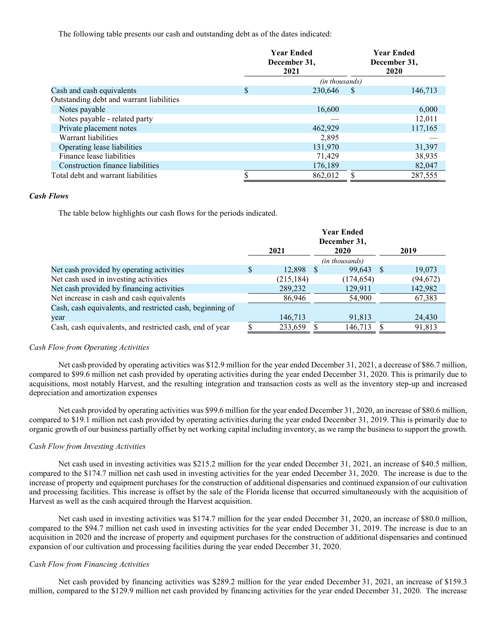The following table presents our cash and outstanding debt as of the dates indicated:

|                                          | <b>Year Ended</b><br>December 31,<br>2021 |                       |              | <b>Year Ended</b><br>December 31,<br><b>2020</b> |
|------------------------------------------|-------------------------------------------|-----------------------|--------------|--------------------------------------------------|
|                                          |                                           | <i>(in thousands)</i> |              |                                                  |
| Cash and cash equivalents                | \$                                        | 230.646               | <sup>8</sup> | 146,713                                          |
| Outstanding debt and warrant liabilities |                                           |                       |              |                                                  |
| Notes payable                            |                                           | 16,600                |              | 6,000                                            |
| Notes payable - related party            |                                           |                       |              | 12,011                                           |
| Private placement notes                  |                                           | 462,929               |              | 117,165                                          |
| Warrant liabilities                      |                                           | 2.895                 |              |                                                  |
| Operating lease liabilities              |                                           | 131,970               |              | 31,397                                           |
| Finance lease liabilities                |                                           | 71.429                |              | 38,935                                           |
| Construction finance liabilities         |                                           | 176,189               |              | 82,047                                           |
| Total debt and warrant liabilities       |                                           | 862,012               |              | 287,555                                          |

## Cash Flows

The table below highlights our cash flows for the periods indicated.

|                                                           |      |            |    | <b>Year Ended</b>           |      |           |
|-----------------------------------------------------------|------|------------|----|-----------------------------|------|-----------|
|                                                           | 2021 |            |    | December 31,<br><b>2020</b> |      | 2019      |
|                                                           |      |            |    | (in thousands)              |      |           |
| Net cash provided by operating activities                 | S    | 12,898     | -8 | 99,643                      | - \$ | 19,073    |
| Net cash used in investing activities                     |      | (215, 184) |    | (174, 654)                  |      | (94, 672) |
| Net cash provided by financing activities                 |      | 289,232    |    | 129,911                     |      | 142,982   |
| Net increase in cash and cash equivalents                 |      | 86,946     |    | 54,900                      |      | 67,383    |
| Cash, cash equivalents, and restricted cash, beginning of |      |            |    |                             |      |           |
| year                                                      |      | 146,713    |    | 91,813                      |      | 24,430    |
| Cash, cash equivalents, and restricted cash, end of year  |      | 233,659    |    | 146,713                     |      | 91.813    |

# Cash Flow from Operating Activities

Net cash provided by operating activities was \$12.9 million for the year ended December 31, 2021, a decrease of \$86.7 million, compared to \$99.6 million net cash provided by operating activities during the year ended December 31, 2020. This is primarily due to acquisitions, most notably Harvest, and the resulting integration and transaction costs as well as the inventory step-up and increased depreciation and amortization expenses

Net cash provided by operating activities was \$99.6 million for the year ended December 31, 2020, an increase of \$80.6 million, compared to \$19.1 million net cash provided by operating activities during the year ended December 31, 2019. This is primarily due to organic growth of our business partially offset by net working capital including inventory, as we ramp the business to support the growth.

### Cash Flow from Investing Activities

Net cash used in investing activities was \$215.2 million for the year ended December 31, 2021, an increase of \$40.5 million, compared to the \$174.7 million net cash used in investing activities for the year ended December 31, 2020. The increase is due to the increase of property and equipment purchases for the construction of additional dispensaries and continued expansion of our cultivation and processing facilities. This increase is offset by the sale of the Florida license that occurred simultaneously with the acquisition of Harvest as well as the cash acquired through the Harvest acquisition.

Net cash used in investing activities was \$174.7 million for the year ended December 31, 2020, an increase of \$80.0 million, compared to the \$94.7 million net cash used in investing activities for the year ended December 31, 2019. The increase is due to an acquisition in 2020 and the increase of property and equipment purchases for the construction of additional dispensaries and continued expansion of our cultivation and processing facilities during the year ended December 31, 2020.

#### Cash Flow from Financing Activities

Net cash provided by financing activities was \$289.2 million for the year ended December 31, 2021, an increase of \$159.3 million, compared to the \$129.9 million net cash provided by financing activities for the year ended December 31, 2020. The increase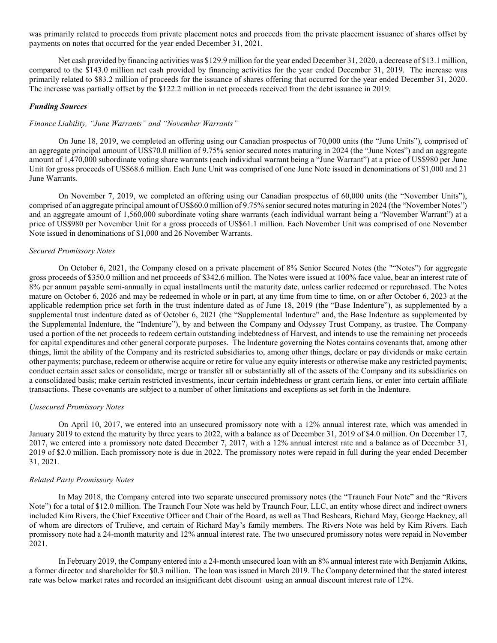was primarily related to proceeds from private placement notes and proceeds from the private placement issuance of shares offset by payments on notes that occurred for the year ended December 31, 2021.

Net cash provided by financing activities was \$129.9 million for the year ended December 31, 2020, a decrease of \$13.1 million, compared to the \$143.0 million net cash provided by financing activities for the year ended December 31, 2019. The increase was primarily related to \$83.2 million of proceeds for the issuance of shares offering that occurred for the year ended December 31, 2020. The increase was partially offset by the \$122.2 million in net proceeds received from the debt issuance in 2019.

# Funding Sources

### Finance Liability, "June Warrants" and "November Warrants"

On June 18, 2019, we completed an offering using our Canadian prospectus of 70,000 units (the "June Units"), comprised of an aggregate principal amount of US\$70.0 million of 9.75% senior secured notes maturing in 2024 (the "June Notes") and an aggregate amount of 1,470,000 subordinate voting share warrants (each individual warrant being a "June Warrant") at a price of US\$980 per June Unit for gross proceeds of US\$68.6 million. Each June Unit was comprised of one June Note issued in denominations of \$1,000 and 21 June Warrants.

On November 7, 2019, we completed an offering using our Canadian prospectus of 60,000 units (the "November Units"), comprised of an aggregate principal amount of US\$60.0 million of 9.75% senior secured notes maturing in 2024 (the "November Notes") and an aggregate amount of 1,560,000 subordinate voting share warrants (each individual warrant being a "November Warrant") at a price of US\$980 per November Unit for a gross proceeds of US\$61.1 million. Each November Unit was comprised of one November Note issued in denominations of \$1,000 and 26 November Warrants.

#### Secured Promissory Notes

On October 6, 2021, the Company closed on a private placement of 8% Senior Secured Notes (the ""Notes") for aggregate gross proceeds of \$350.0 million and net proceeds of \$342.6 million. The Notes were issued at 100% face value, bear an interest rate of 8% per annum payable semi-annually in equal installments until the maturity date, unless earlier redeemed or repurchased. The Notes mature on October 6, 2026 and may be redeemed in whole or in part, at any time from time to time, on or after October 6, 2023 at the applicable redemption price set forth in the trust indenture dated as of June 18, 2019 (the "Base Indenture"), as supplemented by a supplemental trust indenture dated as of October 6, 2021 (the "Supplemental Indenture" and, the Base Indenture as supplemented by the Supplemental Indenture, the "Indenture"), by and between the Company and Odyssey Trust Company, as trustee. The Company used a portion of the net proceeds to redeem certain outstanding indebtedness of Harvest, and intends to use the remaining net proceeds for capital expenditures and other general corporate purposes. The Indenture governing the Notes contains covenants that, among other things, limit the ability of the Company and its restricted subsidiaries to, among other things, declare or pay dividends or make certain other payments; purchase, redeem or otherwise acquire or retire for value any equity interests or otherwise make any restricted payments; conduct certain asset sales or consolidate, merge or transfer all or substantially all of the assets of the Company and its subsidiaries on a consolidated basis; make certain restricted investments, incur certain indebtedness or grant certain liens, or enter into certain affiliate transactions. These covenants are subject to a number of other limitations and exceptions as set forth in the Indenture.

#### Unsecured Promissory Notes

On April 10, 2017, we entered into an unsecured promissory note with a 12% annual interest rate, which was amended in January 2019 to extend the maturity by three years to 2022, with a balance as of December 31, 2019 of \$4.0 million. On December 17, 2017, we entered into a promissory note dated December 7, 2017, with a 12% annual interest rate and a balance as of December 31, 2019 of \$2.0 million. Each promissory note is due in 2022. The promissory notes were repaid in full during the year ended December 31, 2021.

#### Related Party Promissory Notes

In May 2018, the Company entered into two separate unsecured promissory notes (the "Traunch Four Note" and the "Rivers Note") for a total of \$12.0 million. The Traunch Four Note was held by Traunch Four, LLC, an entity whose direct and indirect owners included Kim Rivers, the Chief Executive Officer and Chair of the Board, as well as Thad Beshears, Richard May, George Hackney, all of whom are directors of Trulieve, and certain of Richard May's family members. The Rivers Note was held by Kim Rivers. Each promissory note had a 24-month maturity and 12% annual interest rate. The two unsecured promissory notes were repaid in November 2021.

In February 2019, the Company entered into a 24-month unsecured loan with an 8% annual interest rate with Benjamin Atkins, a former director and shareholder for \$0.3 million. The loan was issued in March 2019. The Company determined that the stated interest rate was below market rates and recorded an insignificant debt discount using an annual discount interest rate of 12%.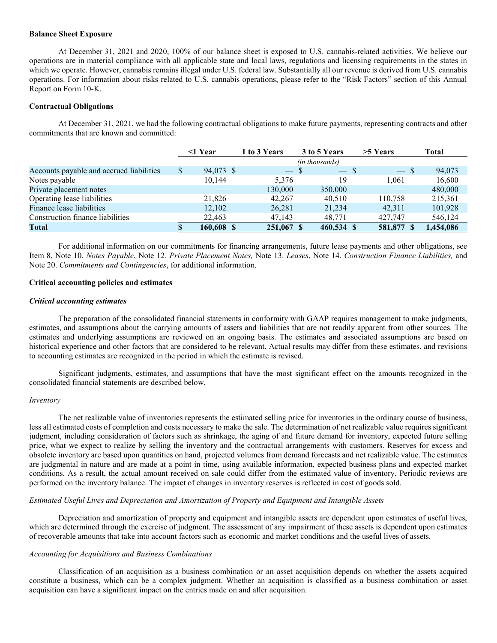#### Balance Sheet Exposure

At December 31, 2021 and 2020, 100% of our balance sheet is exposed to U.S. cannabis-related activities. We believe our operations are in material compliance with all applicable state and local laws, regulations and licensing requirements in the states in which we operate. However, cannabis remains illegal under U.S. federal law. Substantially all our revenue is derived from U.S. cannabis operations. For information about risks related to U.S. cannabis operations, please refer to the "Risk Factors" section of this Annual Report on Form 10-K.

## Contractual Obligations

At December 31, 2021, we had the following contractual obligations to make future payments, representing contracts and other commitments that are known and committed:

|                                          | $\leq$ 1 Year   | 1 to 3 Years | 3 to 5 Years   | $>5$ Years | Total     |
|------------------------------------------|-----------------|--------------|----------------|------------|-----------|
|                                          |                 |              | (in thousands) |            |           |
| Accounts payable and accrued liabilities | \$<br>94,073 \$ | $-$ S        | $-$ S          | $-$ \$     | 94,073    |
| Notes payable                            | 10,144          | 5,376        | 19             | 1.061      | 16,600    |
| Private placement notes                  |                 | 130,000      | 350,000        |            | 480,000   |
| Operating lease liabilities              | 21,826          | 42,267       | 40.510         | 110,758    | 215,361   |
| Finance lease liabilities                | 12,102          | 26,281       | 21,234         | 42.311     | 101,928   |
| Construction finance liabilities         | 22,463          | 47,143       | 48,771         | 427,747    | 546,124   |
| Total                                    | 160,608 \$      | 251,067 \$   | 460.534 \$     | 581,877    | 1,454,086 |

For additional information on our commitments for financing arrangements, future lease payments and other obligations, see Item 8, Note 10. Notes Payable, Note 12. Private Placement Notes, Note 13. Leases, Note 14. Construction Finance Liabilities, and Note 20. Commitments and Contingencies, for additional information.

### Critical accounting policies and estimates

#### Critical accounting estimates

The preparation of the consolidated financial statements in conformity with GAAP requires management to make judgments, estimates, and assumptions about the carrying amounts of assets and liabilities that are not readily apparent from other sources. The estimates and underlying assumptions are reviewed on an ongoing basis. The estimates and associated assumptions are based on historical experience and other factors that are considered to be relevant. Actual results may differ from these estimates, and revisions to accounting estimates are recognized in the period in which the estimate is revised.

Significant judgments, estimates, and assumptions that have the most significant effect on the amounts recognized in the consolidated financial statements are described below.

#### Inventory

The net realizable value of inventories represents the estimated selling price for inventories in the ordinary course of business, less all estimated costs of completion and costs necessary to make the sale. The determination of net realizable value requires significant judgment, including consideration of factors such as shrinkage, the aging of and future demand for inventory, expected future selling price, what we expect to realize by selling the inventory and the contractual arrangements with customers. Reserves for excess and obsolete inventory are based upon quantities on hand, projected volumes from demand forecasts and net realizable value. The estimates are judgmental in nature and are made at a point in time, using available information, expected business plans and expected market conditions. As a result, the actual amount received on sale could differ from the estimated value of inventory. Periodic reviews are performed on the inventory balance. The impact of changes in inventory reserves is reflected in cost of goods sold.

# Estimated Useful Lives and Depreciation and Amortization of Property and Equipment and Intangible Assets

Depreciation and amortization of property and equipment and intangible assets are dependent upon estimates of useful lives, which are determined through the exercise of judgment. The assessment of any impairment of these assets is dependent upon estimates of recoverable amounts that take into account factors such as economic and market conditions and the useful lives of assets.

### Accounting for Acquisitions and Business Combinations

Classification of an acquisition as a business combination or an asset acquisition depends on whether the assets acquired constitute a business, which can be a complex judgment. Whether an acquisition is classified as a business combination or asset acquisition can have a significant impact on the entries made on and after acquisition.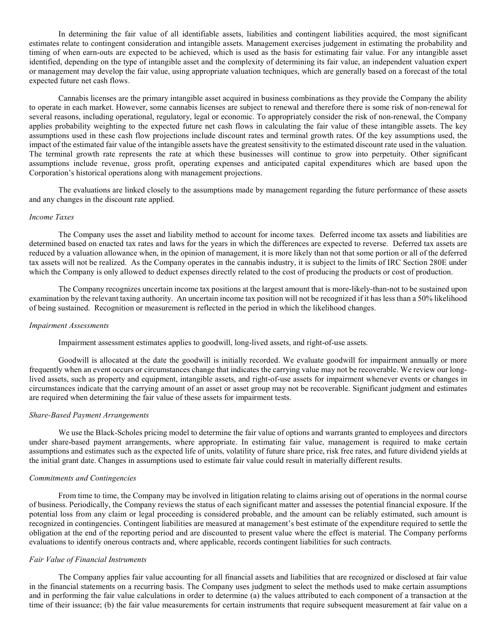In determining the fair value of all identifiable assets, liabilities and contingent liabilities acquired, the most significant estimates relate to contingent consideration and intangible assets. Management exercises judgement in estimating the probability and timing of when earn-outs are expected to be achieved, which is used as the basis for estimating fair value. For any intangible asset identified, depending on the type of intangible asset and the complexity of determining its fair value, an independent valuation expert or management may develop the fair value, using appropriate valuation techniques, which are generally based on a forecast of the total expected future net cash flows.

Cannabis licenses are the primary intangible asset acquired in business combinations as they provide the Company the ability to operate in each market. However, some cannabis licenses are subject to renewal and therefore there is some risk of non-renewal for several reasons, including operational, regulatory, legal or economic. To appropriately consider the risk of non-renewal, the Company applies probability weighting to the expected future net cash flows in calculating the fair value of these intangible assets. The key assumptions used in these cash flow projections include discount rates and terminal growth rates. Of the key assumptions used, the impact of the estimated fair value of the intangible assets have the greatest sensitivity to the estimated discount rate used in the valuation. The terminal growth rate represents the rate at which these businesses will continue to grow into perpetuity. Other significant assumptions include revenue, gross profit, operating expenses and anticipated capital expenditures which are based upon the Corporation's historical operations along with management projections.

The evaluations are linked closely to the assumptions made by management regarding the future performance of these assets and any changes in the discount rate applied.

### Income Taxes

The Company uses the asset and liability method to account for income taxes. Deferred income tax assets and liabilities are determined based on enacted tax rates and laws for the years in which the differences are expected to reverse. Deferred tax assets are reduced by a valuation allowance when, in the opinion of management, it is more likely than not that some portion or all of the deferred tax assets will not be realized. As the Company operates in the cannabis industry, it is subject to the limits of IRC Section 280E under which the Company is only allowed to deduct expenses directly related to the cost of producing the products or cost of production.

The Company recognizes uncertain income tax positions at the largest amount that is more-likely-than-not to be sustained upon examination by the relevant taxing authority. An uncertain income tax position will not be recognized if it has less than a 50% likelihood of being sustained. Recognition or measurement is reflected in the period in which the likelihood changes.

### Impairment Assessments

Impairment assessment estimates applies to goodwill, long-lived assets, and right-of-use assets.

Goodwill is allocated at the date the goodwill is initially recorded. We evaluate goodwill for impairment annually or more frequently when an event occurs or circumstances change that indicates the carrying value may not be recoverable. We review our longlived assets, such as property and equipment, intangible assets, and right-of-use assets for impairment whenever events or changes in circumstances indicate that the carrying amount of an asset or asset group may not be recoverable. Significant judgment and estimates are required when determining the fair value of these assets for impairment tests.

### Share-Based Payment Arrangements

We use the Black-Scholes pricing model to determine the fair value of options and warrants granted to employees and directors under share-based payment arrangements, where appropriate. In estimating fair value, management is required to make certain assumptions and estimates such as the expected life of units, volatility of future share price, risk free rates, and future dividend yields at the initial grant date. Changes in assumptions used to estimate fair value could result in materially different results.

#### Commitments and Contingencies

From time to time, the Company may be involved in litigation relating to claims arising out of operations in the normal course of business. Periodically, the Company reviews the status of each significant matter and assesses the potential financial exposure. If the potential loss from any claim or legal proceeding is considered probable, and the amount can be reliably estimated, such amount is recognized in contingencies. Contingent liabilities are measured at management's best estimate of the expenditure required to settle the obligation at the end of the reporting period and are discounted to present value where the effect is material. The Company performs evaluations to identify onerous contracts and, where applicable, records contingent liabilities for such contracts.

#### Fair Value of Financial Instruments

The Company applies fair value accounting for all financial assets and liabilities that are recognized or disclosed at fair value in the financial statements on a recurring basis. The Company uses judgment to select the methods used to make certain assumptions and in performing the fair value calculations in order to determine (a) the values attributed to each component of a transaction at the time of their issuance; (b) the fair value measurements for certain instruments that require subsequent measurement at fair value on a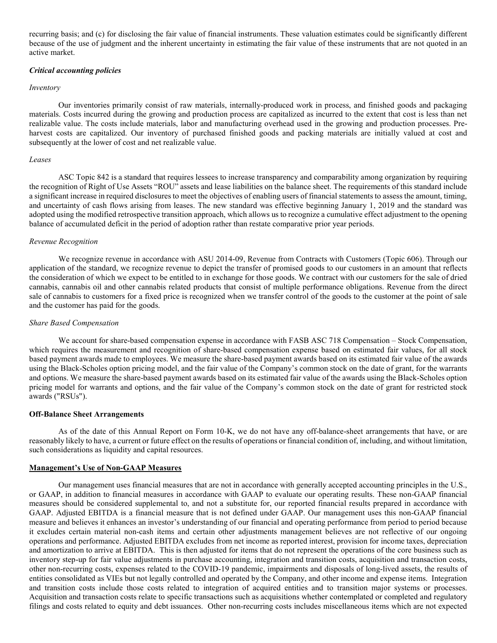recurring basis; and (c) for disclosing the fair value of financial instruments. These valuation estimates could be significantly different because of the use of judgment and the inherent uncertainty in estimating the fair value of these instruments that are not quoted in an active market.

#### Critical accounting policies

#### Inventory

Our inventories primarily consist of raw materials, internally-produced work in process, and finished goods and packaging materials. Costs incurred during the growing and production process are capitalized as incurred to the extent that cost is less than net realizable value. The costs include materials, labor and manufacturing overhead used in the growing and production processes. Preharvest costs are capitalized. Our inventory of purchased finished goods and packing materials are initially valued at cost and subsequently at the lower of cost and net realizable value.

#### Leases

ASC Topic 842 is a standard that requires lessees to increase transparency and comparability among organization by requiring the recognition of Right of Use Assets "ROU" assets and lease liabilities on the balance sheet. The requirements of this standard include a significant increase in required disclosures to meet the objectives of enabling users of financial statements to assess the amount, timing, and uncertainty of cash flows arising from leases. The new standard was effective beginning January 1, 2019 and the standard was adopted using the modified retrospective transition approach, which allows us to recognize a cumulative effect adjustment to the opening balance of accumulated deficit in the period of adoption rather than restate comparative prior year periods.

### Revenue Recognition

We recognize revenue in accordance with ASU 2014-09, Revenue from Contracts with Customers (Topic 606). Through our application of the standard, we recognize revenue to depict the transfer of promised goods to our customers in an amount that reflects the consideration of which we expect to be entitled to in exchange for those goods. We contract with our customers for the sale of dried cannabis, cannabis oil and other cannabis related products that consist of multiple performance obligations. Revenue from the direct sale of cannabis to customers for a fixed price is recognized when we transfer control of the goods to the customer at the point of sale and the customer has paid for the goods.

#### Share Based Compensation

We account for share-based compensation expense in accordance with FASB ASC 718 Compensation – Stock Compensation, which requires the measurement and recognition of share-based compensation expense based on estimated fair values, for all stock based payment awards made to employees. We measure the share-based payment awards based on its estimated fair value of the awards using the Black-Scholes option pricing model, and the fair value of the Company's common stock on the date of grant, for the warrants and options. We measure the share-based payment awards based on its estimated fair value of the awards using the Black-Scholes option pricing model for warrants and options, and the fair value of the Company's common stock on the date of grant for restricted stock awards ("RSUs").

#### Off-Balance Sheet Arrangements

As of the date of this Annual Report on Form 10-K, we do not have any off-balance-sheet arrangements that have, or are reasonably likely to have, a current or future effect on the results of operations or financial condition of, including, and without limitation, such considerations as liquidity and capital resources.

## Management's Use of Non-GAAP Measures

Our management uses financial measures that are not in accordance with generally accepted accounting principles in the U.S., or GAAP, in addition to financial measures in accordance with GAAP to evaluate our operating results. These non-GAAP financial measures should be considered supplemental to, and not a substitute for, our reported financial results prepared in accordance with GAAP. Adjusted EBITDA is a financial measure that is not defined under GAAP. Our management uses this non-GAAP financial measure and believes it enhances an investor's understanding of our financial and operating performance from period to period because it excludes certain material non-cash items and certain other adjustments management believes are not reflective of our ongoing operations and performance. Adjusted EBITDA excludes from net income as reported interest, provision for income taxes, depreciation and amortization to arrive at EBITDA. This is then adjusted for items that do not represent the operations of the core business such as inventory step-up for fair value adjustments in purchase accounting, integration and transition costs, acquisition and transaction costs, other non-recurring costs, expenses related to the COVID-19 pandemic, impairments and disposals of long-lived assets, the results of entities consolidated as VIEs but not legally controlled and operated by the Company, and other income and expense items. Integration and transition costs include those costs related to integration of acquired entities and to transition major systems or processes. Acquisition and transaction costs relate to specific transactions such as acquisitions whether contemplated or completed and regulatory filings and costs related to equity and debt issuances. Other non-recurring costs includes miscellaneous items which are not expected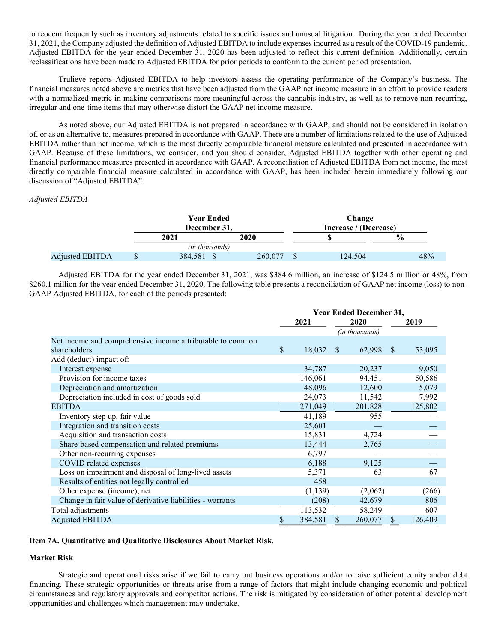to reoccur frequently such as inventory adjustments related to specific issues and unusual litigation. During the year ended December 31, 2021, the Company adjusted the definition of Adjusted EBITDA to include expenses incurred as a result of the COVID-19 pandemic. Adjusted EBITDA for the year ended December 31, 2020 has been adjusted to reflect this current definition. Additionally, certain reclassifications have been made to Adjusted EBITDA for prior periods to conform to the current period presentation.

Trulieve reports Adjusted EBITDA to help investors assess the operating performance of the Company's business. The financial measures noted above are metrics that have been adjusted from the GAAP net income measure in an effort to provide readers with a normalized metric in making comparisons more meaningful across the cannabis industry, as well as to remove non-recurring, irregular and one-time items that may otherwise distort the GAAP net income measure.

As noted above, our Adjusted EBITDA is not prepared in accordance with GAAP, and should not be considered in isolation of, or as an alternative to, measures prepared in accordance with GAAP. There are a number of limitations related to the use of Adjusted EBITDA rather than net income, which is the most directly comparable financial measure calculated and presented in accordance with GAAP. Because of these limitations, we consider, and you should consider, Adjusted EBITDA together with other operating and financial performance measures presented in accordance with GAAP. A reconciliation of Adjusted EBITDA from net income, the most directly comparable financial measure calculated in accordance with GAAP, has been included herein immediately following our discussion of "Adjusted EBITDA".

# Adjusted EBITDA

|                 | <b>Year Ended</b>     |         | Change                |         |               |  |  |  |  |
|-----------------|-----------------------|---------|-----------------------|---------|---------------|--|--|--|--|
|                 | December 31.          |         | Increase / (Decrease) |         |               |  |  |  |  |
|                 | 2021                  | 2020    |                       |         | $\frac{6}{9}$ |  |  |  |  |
|                 | <i>(in thousands)</i> |         |                       |         |               |  |  |  |  |
| Adjusted EBITDA | \$<br>384.581 \$      | 260,077 |                       | 124,504 | 48%           |  |  |  |  |

Adjusted EBITDA for the year ended December 31, 2021, was \$384.6 million, an increase of \$124.5 million or 48%, from \$260.1 million for the year ended December 31, 2020. The following table presents a reconciliation of GAAP net income (loss) to non-GAAP Adjusted EBITDA, for each of the periods presented:

|                                                            | <b>Year Ended December 31,</b> |                |              |         |               |         |
|------------------------------------------------------------|--------------------------------|----------------|--------------|---------|---------------|---------|
|                                                            | 2021                           |                | 2020         |         | 2019          |         |
|                                                            |                                | (in thousands) |              |         |               |         |
| Net income and comprehensive income attributable to common |                                |                |              |         |               |         |
| shareholders                                               | \$                             | 18,032         | <sup>S</sup> | 62,998  | <sup>\$</sup> | 53,095  |
| Add (deduct) impact of:                                    |                                |                |              |         |               |         |
| Interest expense                                           |                                | 34,787         |              | 20,237  |               | 9,050   |
| Provision for income taxes                                 |                                | 146,061        |              | 94,451  |               | 50,586  |
| Depreciation and amortization                              |                                | 48,096         |              | 12,600  |               | 5,079   |
| Depreciation included in cost of goods sold                |                                | 24,073         |              | 11,542  |               | 7,992   |
| <b>EBITDA</b>                                              |                                | 271,049        |              | 201,828 |               | 125,802 |
| Inventory step up, fair value                              |                                | 41,189         |              | 955     |               |         |
| Integration and transition costs                           |                                | 25,601         |              |         |               |         |
| Acquisition and transaction costs                          |                                | 15,831         |              | 4,724   |               |         |
| Share-based compensation and related premiums              |                                | 13,444         |              | 2,765   |               |         |
| Other non-recurring expenses                               |                                | 6,797          |              |         |               |         |
| COVID related expenses                                     |                                | 6,188          |              | 9,125   |               |         |
| Loss on impairment and disposal of long-lived assets       |                                | 5,371          |              | 63      |               | 67      |
| Results of entities not legally controlled                 |                                | 458            |              |         |               |         |
| Other expense (income), net                                |                                | (1,139)        |              | (2,062) |               | (266)   |
| Change in fair value of derivative liabilities - warrants  |                                | (208)          |              | 42,679  |               | 806     |
| Total adjustments                                          |                                | 113,532        |              | 58,249  |               | 607     |
| <b>Adjusted EBITDA</b>                                     | \$                             | 384,581        | \$           | 260,077 | \$            | 126,409 |

## Item 7A. Quantitative and Qualitative Disclosures About Market Risk.

## Market Risk

Strategic and operational risks arise if we fail to carry out business operations and/or to raise sufficient equity and/or debt financing. These strategic opportunities or threats arise from a range of factors that might include changing economic and political circumstances and regulatory approvals and competitor actions. The risk is mitigated by consideration of other potential development opportunities and challenges which management may undertake.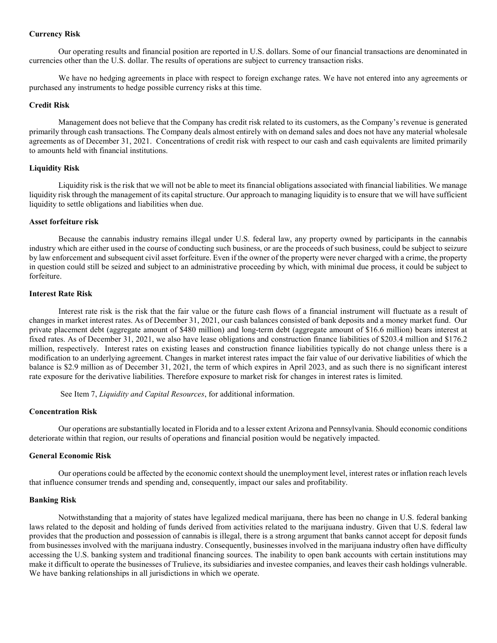## Currency Risk

Our operating results and financial position are reported in U.S. dollars. Some of our financial transactions are denominated in currencies other than the U.S. dollar. The results of operations are subject to currency transaction risks.

We have no hedging agreements in place with respect to foreign exchange rates. We have not entered into any agreements or purchased any instruments to hedge possible currency risks at this time.

## Credit Risk

Management does not believe that the Company has credit risk related to its customers, as the Company's revenue is generated primarily through cash transactions. The Company deals almost entirely with on demand sales and does not have any material wholesale agreements as of December 31, 2021. Concentrations of credit risk with respect to our cash and cash equivalents are limited primarily to amounts held with financial institutions.

# Liquidity Risk

Liquidity risk is the risk that we will not be able to meet its financial obligations associated with financial liabilities. We manage liquidity risk through the management of its capital structure. Our approach to managing liquidity is to ensure that we will have sufficient liquidity to settle obligations and liabilities when due.

# Asset forfeiture risk

Because the cannabis industry remains illegal under U.S. federal law, any property owned by participants in the cannabis industry which are either used in the course of conducting such business, or are the proceeds of such business, could be subject to seizure by law enforcement and subsequent civil asset forfeiture. Even if the owner of the property were never charged with a crime, the property in question could still be seized and subject to an administrative proceeding by which, with minimal due process, it could be subject to forfeiture.

## Interest Rate Risk

Interest rate risk is the risk that the fair value or the future cash flows of a financial instrument will fluctuate as a result of changes in market interest rates. As of December 31, 2021, our cash balances consisted of bank deposits and a money market fund. Our private placement debt (aggregate amount of \$480 million) and long-term debt (aggregate amount of \$16.6 million) bears interest at fixed rates. As of December 31, 2021, we also have lease obligations and construction finance liabilities of \$203.4 million and \$176.2 million, respectively. Interest rates on existing leases and construction finance liabilities typically do not change unless there is a modification to an underlying agreement. Changes in market interest rates impact the fair value of our derivative liabilities of which the balance is \$2.9 million as of December 31, 2021, the term of which expires in April 2023, and as such there is no significant interest rate exposure for the derivative liabilities. Therefore exposure to market risk for changes in interest rates is limited.

See Item 7, *Liquidity and Capital Resources*, for additional information.

# Concentration Risk

Our operations are substantially located in Florida and to a lesser extent Arizona and Pennsylvania. Should economic conditions deteriorate within that region, our results of operations and financial position would be negatively impacted.

# General Economic Risk

Our operations could be affected by the economic context should the unemployment level, interest rates or inflation reach levels that influence consumer trends and spending and, consequently, impact our sales and profitability.

## Banking Risk

Notwithstanding that a majority of states have legalized medical marijuana, there has been no change in U.S. federal banking laws related to the deposit and holding of funds derived from activities related to the marijuana industry. Given that U.S. federal law provides that the production and possession of cannabis is illegal, there is a strong argument that banks cannot accept for deposit funds from businesses involved with the marijuana industry. Consequently, businesses involved in the marijuana industry often have difficulty accessing the U.S. banking system and traditional financing sources. The inability to open bank accounts with certain institutions may make it difficult to operate the businesses of Trulieve, its subsidiaries and investee companies, and leaves their cash holdings vulnerable. We have banking relationships in all jurisdictions in which we operate.